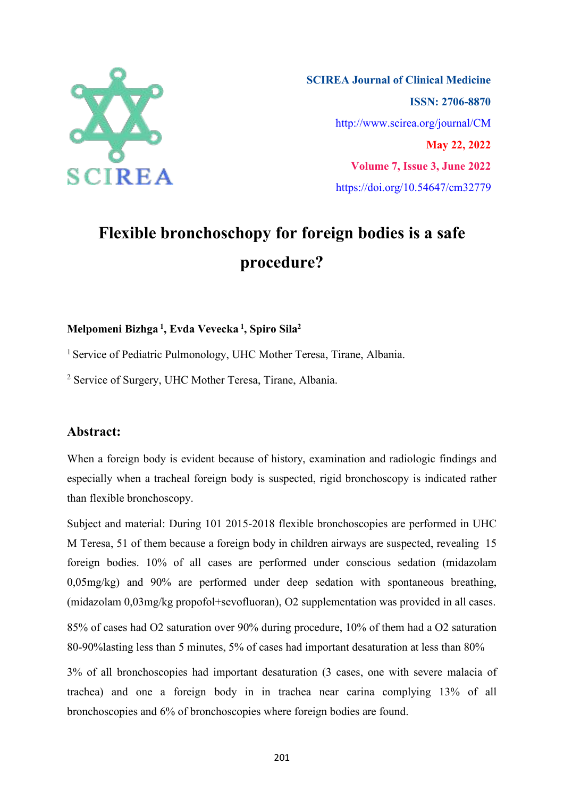

**SCIREA Journal of Clinical Medicine ISSN: 2706-8870** http://www.scirea.org/journal/CM **May 22, 2022 Volume 7, Issue 3, June 2022** https://doi.org/10.54647/cm32779

# **Flexible bronchoschopy for foreign bodies is a safe procedure?**

#### **Melpomeni Bizhga 1 , Evda Vevecka 1 , Spiro Sila 2**

<sup>1</sup> Service of Pediatric Pulmonology, UHC Mother Teresa, Tirane, Albania.

<sup>2</sup> Service of Surgery, UHC Mother Teresa, Tirane, Albania.

# **Abstract:**

When a foreign body is evident because of history, examination and radiologic findings and especially when a tracheal foreign body is suspected, rigid bronchoscopy is indicated rather than flexible bronchoscopy.

Subject and material: During 101 2015-2018 flexible bronchoscopies are performed in UHC M Teresa, 51 of them because a foreign body in children airways are suspected, revealing 15 foreign bodies. 10% of all cases are performed under conscious sedation (midazolam  $0.05$ mg/kg) and  $90\%$  are performed under deep sedation with spontaneous breathing, (midazolam 0,03mg/kg propofol+sevofluoran), O2 supplementation was provided in all cases. 85% of cases had O2 saturation over 90% during procedure, 10% of them had a O2 saturation 80-90%lasting less than 5 minutes, 5% of cases had important desaturation at less than 80%

3% of all bronchoscopies had important desaturation (3 cases, one with severe malacia of trachea) and one a foreign body in in trachea near carina complying 13% of all bronchoscopies and 6% of bronchoscopies where foreign bodies are found.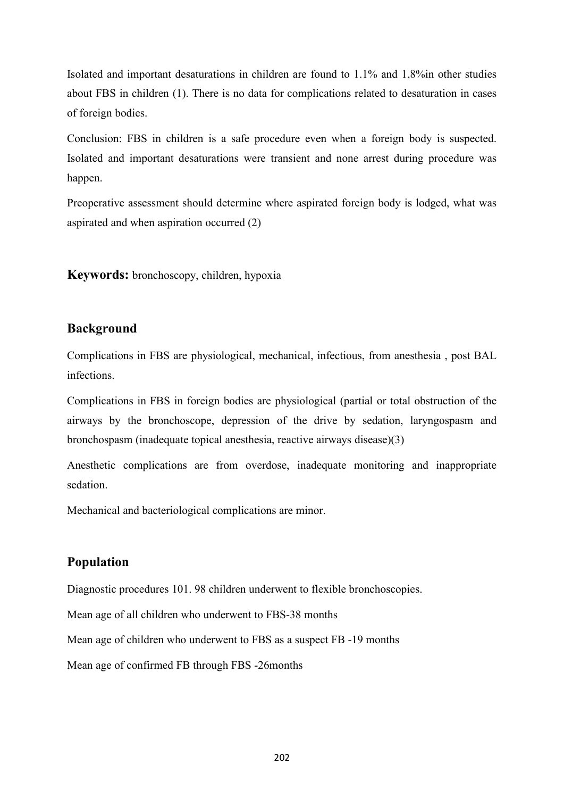Isolated and important desaturations in children are found to  $1.1\%$  and  $1.8\%$ in other studies about FBS in children (1). There is no data for complications related to desaturation in cases of foreign bodies.

Conclusion: FBS in children is a safe procedure even when a foreign body is suspected. Isolated and important desaturations were transient and none arrest during procedure was happen.

Preoperative assessment should determine where aspirated foreign body is lodged, what was aspirated and when aspiration occurred (2)

**Keywords:** bronchoscopy, children, hypoxia

# **Background**

Complications in FBS are physiological, mechanical, infectious, from anesthesia , post BAL infections.

Complications in FBS in foreign bodies are physiological (partial or total obstruction of the airways by the bronchoscope, depression of the drive by sedation, laryngospasm and bronchospasm (inadequate topical anesthesia, reactive airways disease)(3)

Anesthetic complications are from overdose, inadequate monitoring and inappropriate sedation.

Mechanical and bacteriological complications are minor.

#### **Population**

Diagnostic procedures 101. 98 children underwent to flexible bronchoscopies.

Mean age of all children who underwent to FBS-38 months

Mean age of children who underwent to FBS as a suspect FB -19 months

Mean age of confirmed FB through FBS -26months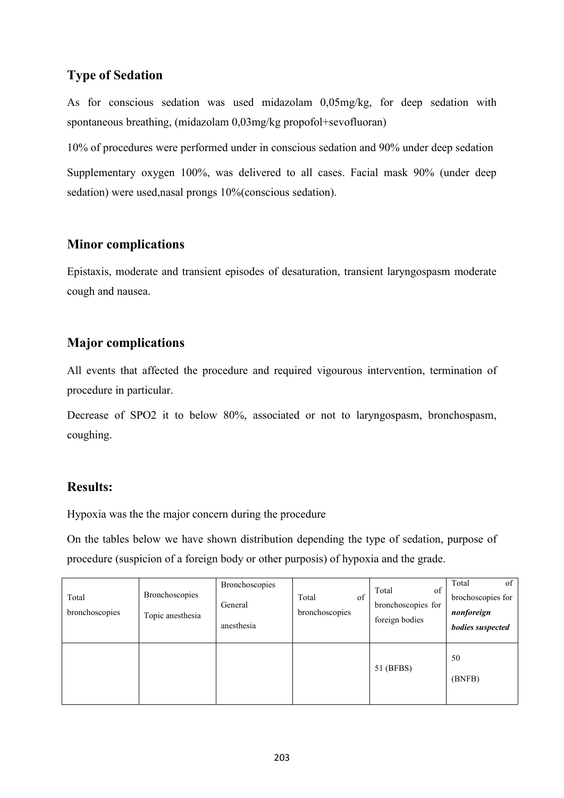# **Type of Sedation**

As for conscious sedation was used midazolam 0,05mg/kg, for deep sedation with spontaneous breathing, (midazolam 0,03mg/kg propofol+sevofluoran)

10% of procedures were performed under in conscious sedation and 90% under deep sedation Supplementary oxygen 100%, was delivered to all cases. Facial mask 90% (under deep sedation) were used,nasal prongs 10%(conscious sedation).

# **Minor complications**

Epistaxis, moderate and transient episodes of desaturation, transient laryngospasm moderate cough and nausea.

# **Major complications**

All events that affected the procedure and required vigourous intervention, termination of procedure in particular.

Decrease of SPO2 it to below 80%, associated or not to laryngospasm, bronchospasm, coughing.

# **Results:**

Hypoxia was the the major concern during the procedure

On the tables below we have shown distribution depending the type of sedation, purpose of procedure (suspicion of a foreign body or other purposis) of hypoxia and the grade.

| Total<br>bronchoscopies | Bronchoscopies<br>Topic anesthesia | Bronchoscopies<br>General<br>anesthesia | of<br>Total<br>bronchoscopies | Total<br>of<br>bronchoscopies for<br>foreign bodies | of<br>Total<br>brochoscopies for<br>nonforeign<br>bodies suspected |
|-------------------------|------------------------------------|-----------------------------------------|-------------------------------|-----------------------------------------------------|--------------------------------------------------------------------|
|                         |                                    |                                         |                               | 51 (BFBS)                                           | 50<br>(BNFB)                                                       |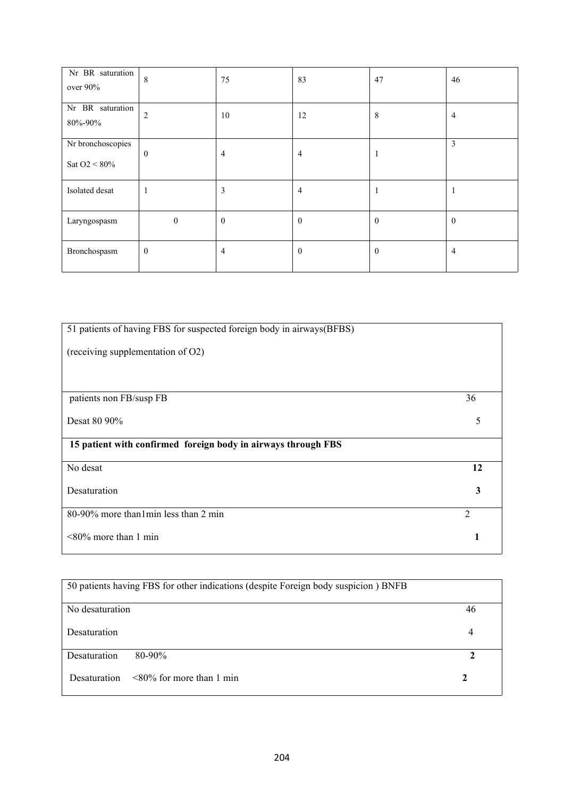| Nr BR saturation<br>over 90%            | 8                | 75             | 83           | 47           | 46           |
|-----------------------------------------|------------------|----------------|--------------|--------------|--------------|
| Nr BR saturation<br>80%-90%             | $\overline{2}$   | 10             | 12           | 8            | 4            |
| Nr bronchoscopies<br>Sat O2 $\leq 80\%$ | $\mathbf{0}$     | $\overline{4}$ | 4            | $\mathbf{1}$ | 3            |
| Isolated desat                          |                  | 3              | 4            | 1            | -1           |
| Laryngospasm                            | $\boldsymbol{0}$ | $\overline{0}$ | $\mathbf{0}$ | $\mathbf{0}$ | $\mathbf{0}$ |
| Bronchospasm                            | $\boldsymbol{0}$ | $\overline{4}$ | $\mathbf{0}$ | $\mathbf{0}$ | 4            |

| 51 patients of having FBS for suspected foreign body in airways(BFBS) |                |
|-----------------------------------------------------------------------|----------------|
|                                                                       |                |
| (receiving supplementation of O2)                                     |                |
|                                                                       |                |
|                                                                       |                |
|                                                                       |                |
| patients non FB/susp FB                                               | 36             |
| Desat 80 90%                                                          | 5              |
|                                                                       |                |
| 15 patient with confirmed foreign body in airways through FBS         |                |
|                                                                       |                |
| No desat                                                              | 12             |
|                                                                       |                |
| Desaturation                                                          | 3              |
|                                                                       |                |
| 80-90% more than 1 min less than 2 min                                | $\overline{2}$ |
|                                                                       |                |
| $<80\%$ more than 1 min                                               | 1              |
|                                                                       |                |

| 50 patients having FBS for other indications (despite Foreign body suspicion) BNFB |    |
|------------------------------------------------------------------------------------|----|
| No desaturation                                                                    | 46 |
| Desaturation                                                                       | 4  |
| Desaturation<br>$80 - 90\%$                                                        |    |
| $\leq 80\%$ for more than 1 min<br>Desaturation                                    | 2  |